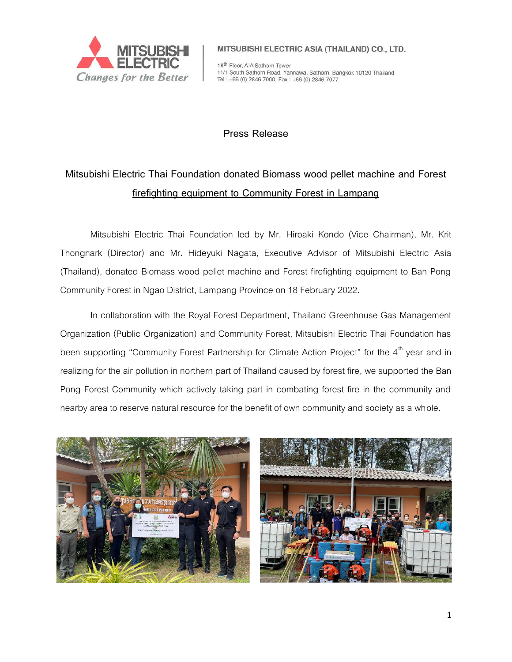

MITSUBISHI ELECTRIC ASIA (THAILAND) CO., LTD.

18th Floor, AIA Sathorn Tower 11/1 South Sathorn Road, Yannawa, Sathorn, Bangkok 10120 Thailand Tel: +66 (0) 2846 7000 Fax: +66 (0) 2846 7077

## **Press Release**

## **Mitsubishi Electric Thai Foundation donated Biomass wood pellet machine and Forest firefighting equipment to Community Forest in Lampang**

Mitsubishi Electric Thai Foundation led by Mr. Hiroaki Kondo (Vice Chairman), Mr. Krit Thongnark (Director) and Mr. Hideyuki Nagata, Executive Advisor of Mitsubishi Electric Asia (Thailand), donated Biomass wood pellet machine and Forest firefighting equipment to Ban Pong Community Forest in Ngao District, Lampang Province on 18 February 2022.

In collaboration with the Royal Forest Department, Thailand Greenhouse Gas Management Organization (Public Organization) and Community Forest, Mitsubishi Electric Thai Foundation has been supporting "Community Forest Partnership for Climate Action Project" for the  $4<sup>th</sup>$  year and in realizing for the air pollution in northern part of Thailand caused by forest fire, we supported the Ban Pong Forest Community which actively taking part in combating forest fire in the community and nearby area to reserve natural resource for the benefit of own community and society as a whole.